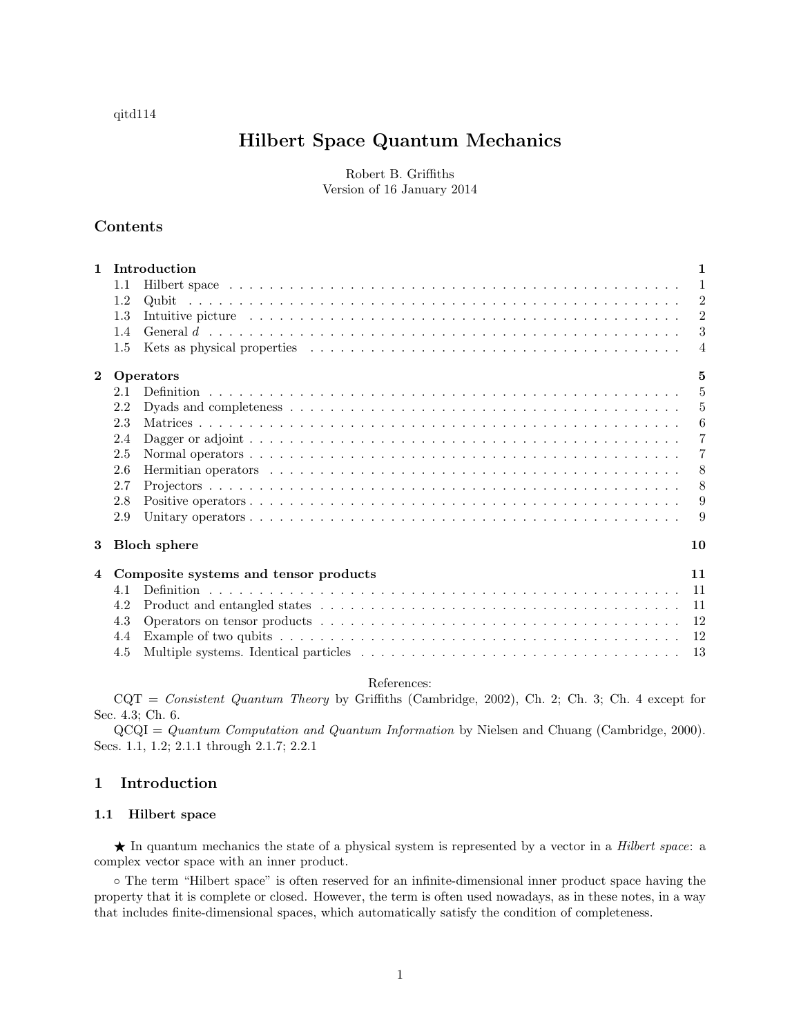# qitd114

# Hilbert Space Quantum Mechanics

Robert B. Griffiths Version of 16 January 2014

# Contents

| $\mathbf{1}$   | Introduction<br>1     |                                                                                                                                                                                                                                                  |  |  |
|----------------|-----------------------|--------------------------------------------------------------------------------------------------------------------------------------------------------------------------------------------------------------------------------------------------|--|--|
|                | $1.1\,$               | $\mathbf{1}$                                                                                                                                                                                                                                     |  |  |
|                | 1.2                   | $\overline{2}$                                                                                                                                                                                                                                   |  |  |
|                | 1.3                   | $\overline{2}$<br>Intuitive picture experience is a series of the series of the series of the series of the series of the series of the series of the series of the series of the series of the series of the series of the series of the series |  |  |
|                | 1.4                   | 3                                                                                                                                                                                                                                                |  |  |
|                | 1.5                   | $\overline{4}$                                                                                                                                                                                                                                   |  |  |
| $\mathbf{2}$   | 5<br><b>Operators</b> |                                                                                                                                                                                                                                                  |  |  |
|                | 2.1                   | 5                                                                                                                                                                                                                                                |  |  |
|                | 2.2                   | 5                                                                                                                                                                                                                                                |  |  |
|                | 2.3                   | 6                                                                                                                                                                                                                                                |  |  |
|                | 2.4                   | $\overline{7}$                                                                                                                                                                                                                                   |  |  |
|                | 2.5                   | 7                                                                                                                                                                                                                                                |  |  |
|                | 2.6                   | -8                                                                                                                                                                                                                                               |  |  |
|                | 2.7                   | 8                                                                                                                                                                                                                                                |  |  |
|                | 2.8                   | 9                                                                                                                                                                                                                                                |  |  |
|                | 2.9                   | 9                                                                                                                                                                                                                                                |  |  |
| 3              |                       | <b>Bloch</b> sphere<br>10                                                                                                                                                                                                                        |  |  |
| $\overline{4}$ |                       | 11<br>Composite systems and tensor products                                                                                                                                                                                                      |  |  |
|                | 4.1                   | -11                                                                                                                                                                                                                                              |  |  |
|                | 4.2                   | -11                                                                                                                                                                                                                                              |  |  |
|                | 4.3                   | 12                                                                                                                                                                                                                                               |  |  |
|                | 4.4                   | 12                                                                                                                                                                                                                                               |  |  |
|                | 4.5                   | 13                                                                                                                                                                                                                                               |  |  |

## References:

CQT = Consistent Quantum Theory by Griffiths (Cambridge, 2002), Ch. 2; Ch. 3; Ch. 4 except for Sec. 4.3; Ch. 6.

QCQI = Quantum Computation and Quantum Information by Nielsen and Chuang (Cambridge, 2000). Secs. 1.1, 1.2; 2.1.1 through 2.1.7; 2.2.1

# 1 Introduction

## 1.1 Hilbert space

★ In quantum mechanics the state of a physical system is represented by a vector in a *Hilbert space*: a complex vector space with an inner product.

◦ The term "Hilbert space" is often reserved for an infinite-dimensional inner product space having the property that it is complete or closed. However, the term is often used nowadays, as in these notes, in a way that includes finite-dimensional spaces, which automatically satisfy the condition of completeness.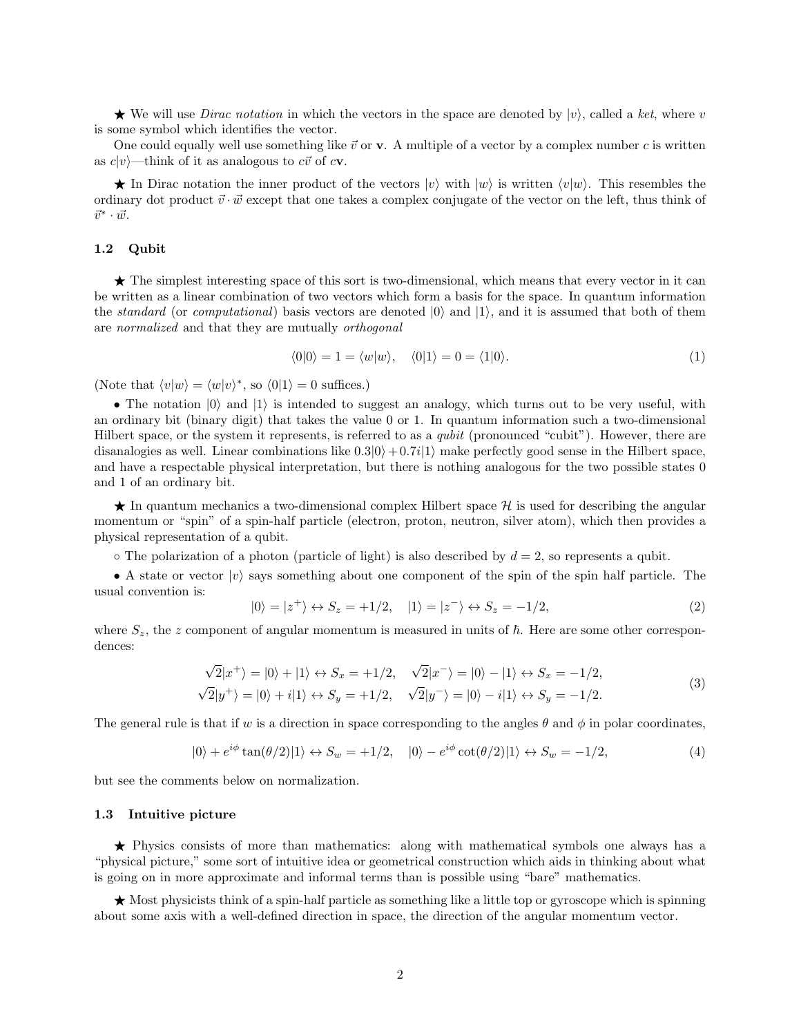$\star$  We will use *Dirac notation* in which the vectors in the space are denoted by  $|v\rangle$ , called a ket, where v is some symbol which identifies the vector.

One could equally well use something like  $\vec{v}$  or **v**. A multiple of a vector by a complex number c is written as  $c|v\rangle$ —think of it as analogous to  $c\vec{v}$  of  $c\mathbf{v}$ .

 $\star$  In Dirac notation the inner product of the vectors  $|v\rangle$  with  $|w\rangle$  is written  $\langle v|w\rangle$ . This resembles the ordinary dot product  $\vec{v} \cdot \vec{w}$  except that one takes a complex conjugate of the vector on the left, thus think of  $\vec{v}^* \cdot \vec{w}$ .

#### 1.2 Qubit

 $\star$  The simplest interesting space of this sort is two-dimensional, which means that every vector in it can be written as a linear combination of two vectors which form a basis for the space. In quantum information the *standard* (or *computational*) basis vectors are denoted  $|0\rangle$  and  $|1\rangle$ , and it is assumed that both of them are normalized and that they are mutually orthogonal

$$
\langle 0|0\rangle = 1 = \langle w|w\rangle, \quad \langle 0|1\rangle = 0 = \langle 1|0\rangle. \tag{1}
$$

(Note that  $\langle v|w\rangle = \langle w|v\rangle^*$ , so  $\langle 0|1\rangle = 0$  suffices.)

• The notation  $|0\rangle$  and  $|1\rangle$  is intended to suggest an analogy, which turns out to be very useful, with an ordinary bit (binary digit) that takes the value 0 or 1. In quantum information such a two-dimensional Hilbert space, or the system it represents, is referred to as a qubit (pronounced "cubit"). However, there are disanalogies as well. Linear combinations like  $0.3|0\rangle + 0.7i|1\rangle$  make perfectly good sense in the Hilbert space, and have a respectable physical interpretation, but there is nothing analogous for the two possible states 0 and 1 of an ordinary bit.

 $\star$  In quantum mechanics a two-dimensional complex Hilbert space H is used for describing the angular momentum or "spin" of a spin-half particle (electron, proton, neutron, silver atom), which then provides a physical representation of a qubit.

 $\circ$  The polarization of a photon (particle of light) is also described by  $d = 2$ , so represents a qubit.

• A state or vector  $|v\rangle$  says something about one component of the spin of the spin half particle. The usual convention is:

$$
|0\rangle = |z^{+}\rangle \leftrightarrow S_{z} = +1/2, \quad |1\rangle = |z^{-}\rangle \leftrightarrow S_{z} = -1/2,
$$
 (2)

where  $S_z$ , the z component of angular momentum is measured in units of  $\hbar$ . Here are some other correspondences:

$$
\sqrt{2}|x^{+}\rangle = |0\rangle + |1\rangle \leftrightarrow S_{x} = +1/2, \quad \sqrt{2}|x^{-}\rangle = |0\rangle - |1\rangle \leftrightarrow S_{x} = -1/2, \n\sqrt{2}|y^{+}\rangle = |0\rangle + i|1\rangle \leftrightarrow S_{y} = +1/2, \quad \sqrt{2}|y^{-}\rangle = |0\rangle - i|1\rangle \leftrightarrow S_{y} = -1/2.
$$
\n(3)

The general rule is that if w is a direction in space corresponding to the angles  $\theta$  and  $\phi$  in polar coordinates,

$$
|0\rangle + e^{i\phi} \tan(\theta/2)|1\rangle \leftrightarrow S_w = +1/2, \quad |0\rangle - e^{i\phi} \cot(\theta/2)|1\rangle \leftrightarrow S_w = -1/2,
$$
 (4)

but see the comments below on normalization.

#### 1.3 Intuitive picture

**★** Physics consists of more than mathematics: along with mathematical symbols one always has a "physical picture," some sort of intuitive idea or geometrical construction which aids in thinking about what is going on in more approximate and informal terms than is possible using "bare" mathematics.

 $\star$  Most physicists think of a spin-half particle as something like a little top or gyroscope which is spinning about some axis with a well-defined direction in space, the direction of the angular momentum vector.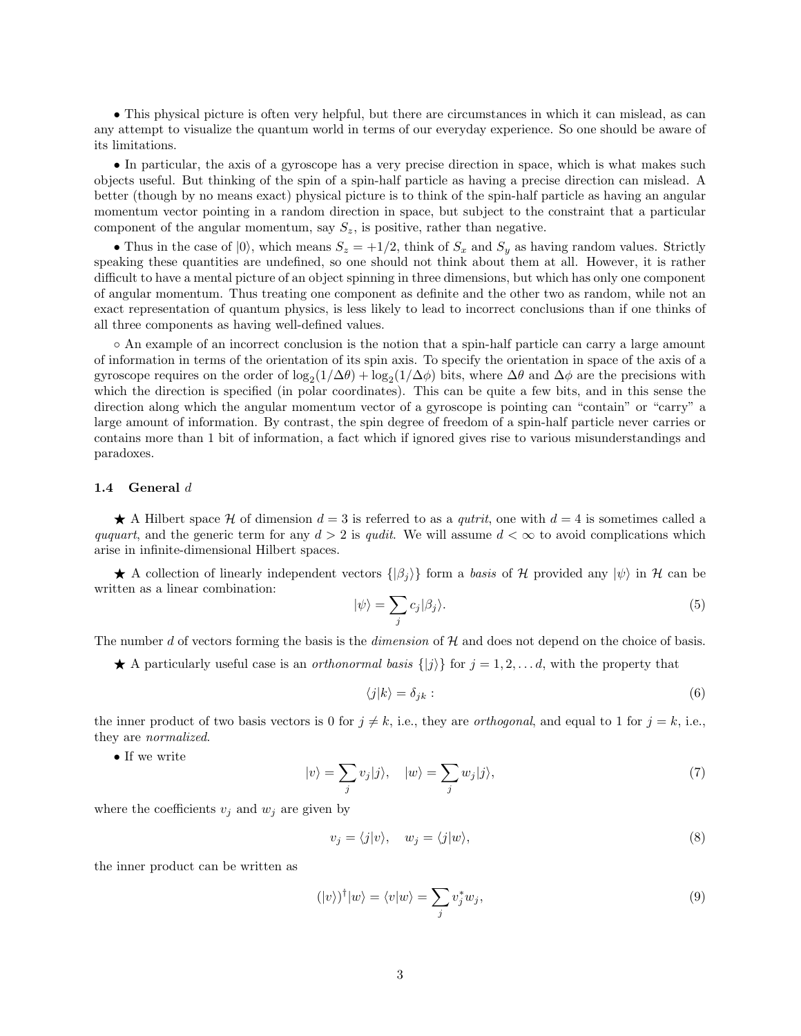• This physical picture is often very helpful, but there are circumstances in which it can mislead, as can any attempt to visualize the quantum world in terms of our everyday experience. So one should be aware of its limitations.

• In particular, the axis of a gyroscope has a very precise direction in space, which is what makes such objects useful. But thinking of the spin of a spin-half particle as having a precise direction can mislead. A better (though by no means exact) physical picture is to think of the spin-half particle as having an angular momentum vector pointing in a random direction in space, but subject to the constraint that a particular component of the angular momentum, say  $S_z$ , is positive, rather than negative.

• Thus in the case of  $|0\rangle$ , which means  $S_z = +1/2$ , think of  $S_x$  and  $S_y$  as having random values. Strictly speaking these quantities are undefined, so one should not think about them at all. However, it is rather difficult to have a mental picture of an object spinning in three dimensions, but which has only one component of angular momentum. Thus treating one component as definite and the other two as random, while not an exact representation of quantum physics, is less likely to lead to incorrect conclusions than if one thinks of all three components as having well-defined values.

◦ An example of an incorrect conclusion is the notion that a spin-half particle can carry a large amount of information in terms of the orientation of its spin axis. To specify the orientation in space of the axis of a gyroscope requires on the order of  $\log_2(1/\Delta\theta) + \log_2(1/\Delta\phi)$  bits, where  $\Delta\theta$  and  $\Delta\phi$  are the precisions with which the direction is specified (in polar coordinates). This can be quite a few bits, and in this sense the direction along which the angular momentum vector of a gyroscope is pointing can "contain" or "carry" a large amount of information. By contrast, the spin degree of freedom of a spin-half particle never carries or contains more than 1 bit of information, a fact which if ignored gives rise to various misunderstandings and paradoxes.

## 1.4 General d

A Hilbert space H of dimension  $d = 3$  is referred to as a *qutrit*, one with  $d = 4$  is sometimes called a ququart, and the generic term for any  $d > 2$  is qualit. We will assume  $d < \infty$  to avoid complications which arise in infinite-dimensional Hilbert spaces.

A collection of linearly independent vectors  $\{|\beta_i\rangle\}$  form a basis of H provided any  $|\psi\rangle$  in H can be written as a linear combination:

$$
|\psi\rangle = \sum_{j} c_j |\beta_j\rangle. \tag{5}
$$

The number d of vectors forming the basis is the dimension of  $H$  and does not depend on the choice of basis.

 $\star$  A particularly useful case is an *orthonormal basis*  $\{|j\rangle\}$  for  $j = 1, 2, \ldots, d$ , with the property that

$$
\langle j|k\rangle = \delta_{jk}:\tag{6}
$$

the inner product of two basis vectors is 0 for  $j \neq k$ , i.e., they are *orthogonal*, and equal to 1 for  $j = k$ , i.e., they are normalized.

 $\bullet$  If we write

$$
|v\rangle = \sum_{j} v_j |j\rangle, \quad |w\rangle = \sum_{j} w_j |j\rangle,\tag{7}
$$

where the coefficients  $v_j$  and  $w_j$  are given by

$$
v_j = \langle j | v \rangle, \quad w_j = \langle j | w \rangle,\tag{8}
$$

the inner product can be written as

$$
(|v\rangle)^{\dagger}|w\rangle = \langle v|w\rangle = \sum_{j} v_{j}^{*} w_{j}, \qquad (9)
$$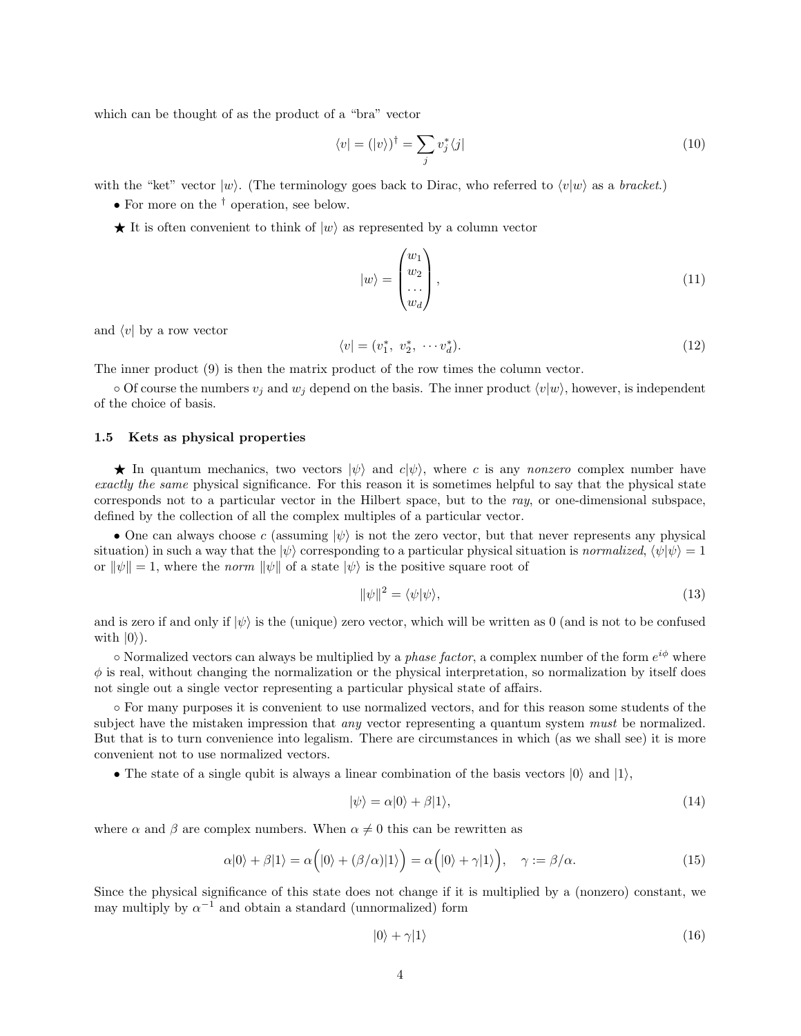which can be thought of as the product of a "bra" vector

$$
\langle v| = (|v\rangle)^{\dagger} = \sum_{j} v_{j}^{*} \langle j| \tag{10}
$$

with the "ket" vector  $|w\rangle$ . (The terminology goes back to Dirac, who referred to  $\langle v|w\rangle$  as a bracket.)

- For more on the <sup>†</sup> operation, see below.
- $\star$  It is often convenient to think of  $|w\rangle$  as represented by a column vector

$$
|w\rangle = \begin{pmatrix} w_1 \\ w_2 \\ \dots \\ w_d \end{pmatrix},\tag{11}
$$

and  $\langle v|$  by a row vector

$$
\langle v| = (v_1^*, v_2^*, \cdots v_d^*). \tag{12}
$$

The inner product (9) is then the matrix product of the row times the column vector.

 $\circ$  Of course the numbers  $v_j$  and  $w_j$  depend on the basis. The inner product  $\langle v|w\rangle$ , however, is independent of the choice of basis.

## 1.5 Kets as physical properties

 $\star$  In quantum mechanics, two vectors  $|\psi\rangle$  and  $c|\psi\rangle$ , where c is any nonzero complex number have exactly the same physical significance. For this reason it is sometimes helpful to say that the physical state corresponds not to a particular vector in the Hilbert space, but to the ray, or one-dimensional subspace. defined by the collection of all the complex multiples of a particular vector.

• One can always choose c (assuming  $|\psi\rangle$  is not the zero vector, but that never represents any physical situation) in such a way that the  $|\psi\rangle$  corresponding to a particular physical situation is normalized,  $\langle \psi | \psi \rangle = 1$ or  $\|\psi\| = 1$ , where the norm  $\|\psi\|$  of a state  $|\psi\rangle$  is the positive square root of

$$
\|\psi\|^2 = \langle \psi | \psi \rangle,\tag{13}
$$

and is zero if and only if  $|\psi\rangle$  is the (unique) zero vector, which will be written as 0 (and is not to be confused with  $|0\rangle$ ).

 $\circ$  Normalized vectors can always be multiplied by a *phase factor*, a complex number of the form  $e^{i\phi}$  where  $\phi$  is real, without changing the normalization or the physical interpretation, so normalization by itself does not single out a single vector representing a particular physical state of affairs.

◦ For many purposes it is convenient to use normalized vectors, and for this reason some students of the subject have the mistaken impression that *any* vector representing a quantum system *must* be normalized. But that is to turn convenience into legalism. There are circumstances in which (as we shall see) it is more convenient not to use normalized vectors.

• The state of a single qubit is always a linear combination of the basis vectors  $|0\rangle$  and  $|1\rangle$ ,

$$
|\psi\rangle = \alpha|0\rangle + \beta|1\rangle, \tag{14}
$$

where  $\alpha$  and  $\beta$  are complex numbers. When  $\alpha \neq 0$  this can be rewritten as

$$
\alpha|0\rangle + \beta|1\rangle = \alpha(|0\rangle + (\beta/\alpha)|1\rangle) = \alpha(|0\rangle + \gamma|1\rangle), \quad \gamma := \beta/\alpha.
$$
 (15)

Since the physical significance of this state does not change if it is multiplied by a (nonzero) constant, we may multiply by  $\alpha^{-1}$  and obtain a standard (unnormalized) form

$$
|0\rangle + \gamma |1\rangle \tag{16}
$$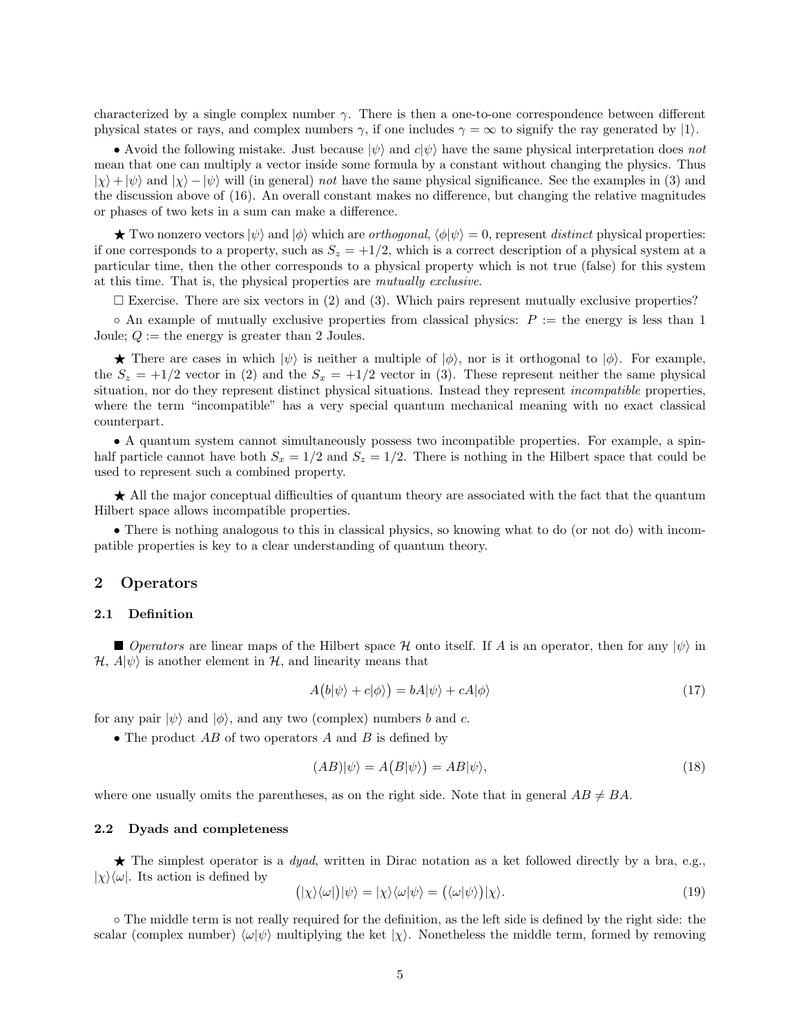characterized by a single complex number  $\gamma$ . There is then a one-to-one correspondence between different physical states or rays, and complex numbers  $\gamma$ , if one includes  $\gamma = \infty$  to signify the ray generated by  $|1\rangle$ .

• Avoid the following mistake. Just because  $|\psi\rangle$  and  $c|\psi\rangle$  have the same physical interpretation does not mean that one can multiply a vector inside some formula by a constant without changing the physics. Thus  $|\chi\rangle + |\psi\rangle$  and  $|\chi\rangle - |\psi\rangle$  will (in general) not have the same physical significance. See the examples in (3) and the discussion above of (16). An overall constant makes no difference, but changing the relative magnitudes or phases of two kets in a sum can make a difference.

 $\star$  Two nonzero vectors  $|\psi\rangle$  and  $|\phi\rangle$  which are *orthogonal*,  $\langle \phi | \psi \rangle = 0$ , represent distinct physical properties: if one corresponds to a property, such as  $S_z = +1/2$ , which is a correct description of a physical system at a particular time, then the other corresponds to a physical property which is not true (false) for this system at this time. That is, the physical properties are mutually exclusive.

 $\square$  Exercise. There are six vectors in (2) and (3). Which pairs represent mutually exclusive properties?

 $\circ$  An example of mutually exclusive properties from classical physics:  $P :=$  the energy is less than 1 Joule;  $Q :=$  the energy is greater than 2 Joules.

**There are cases in which**  $|\psi\rangle$  **is neither a multiple of**  $|\phi\rangle$ **, nor is it orthogonal to**  $|\phi\rangle$ **. For example,** the  $S_z = +1/2$  vector in (2) and the  $S_x = +1/2$  vector in (3). These represent neither the same physical situation, nor do they represent distinct physical situations. Instead they represent *incompatible* properties, where the term "incompatible" has a very special quantum mechanical meaning with no exact classical counterpart.

• A quantum system cannot simultaneously possess two incompatible properties. For example, a spinhalf particle cannot have both  $S_x = 1/2$  and  $S_z = 1/2$ . There is nothing in the Hilbert space that could be used to represent such a combined property.

★ All the major conceptual difficulties of quantum theory are associated with the fact that the quantum Hilbert space allows incompatible properties.

• There is nothing analogous to this in classical physics, so knowing what to do (or not do) with incompatible properties is key to a clear understanding of quantum theory.

# 2 Operators

#### 2.1 Definition

Operators are linear maps of the Hilbert space H onto itself. If A is an operator, then for any  $|\psi\rangle$  in  $\mathcal{H}, A|\psi\rangle$  is another element in  $\mathcal{H}$ , and linearity means that

$$
A(b|\psi\rangle + c|\phi\rangle) = bA|\psi\rangle + cA|\phi\rangle
$$
\n(17)

for any pair  $|\psi\rangle$  and  $|\phi\rangle$ , and any two (complex) numbers b and c.

• The product  $AB$  of two operators A and B is defined by

$$
(AB)|\psi\rangle = A(B|\psi\rangle) = AB|\psi\rangle,\tag{18}
$$

where one usually omits the parentheses, as on the right side. Note that in general  $AB \neq BA$ .

#### 2.2 Dyads and completeness

 $\star$  The simplest operator is a *dyad*, written in Dirac notation as a ket followed directly by a bra, e.g.,  $|\chi\rangle\langle\omega|$ . Its action is defined by

$$
(|\chi\rangle\langle\omega|)|\psi\rangle = |\chi\rangle\langle\omega|\psi\rangle = (\langle\omega|\psi\rangle)|\chi\rangle. \tag{19}
$$

◦ The middle term is not really required for the definition, as the left side is defined by the right side: the scalar (complex number)  $\langle \omega | \psi \rangle$  multiplying the ket  $|\chi \rangle$ . Nonetheless the middle term, formed by removing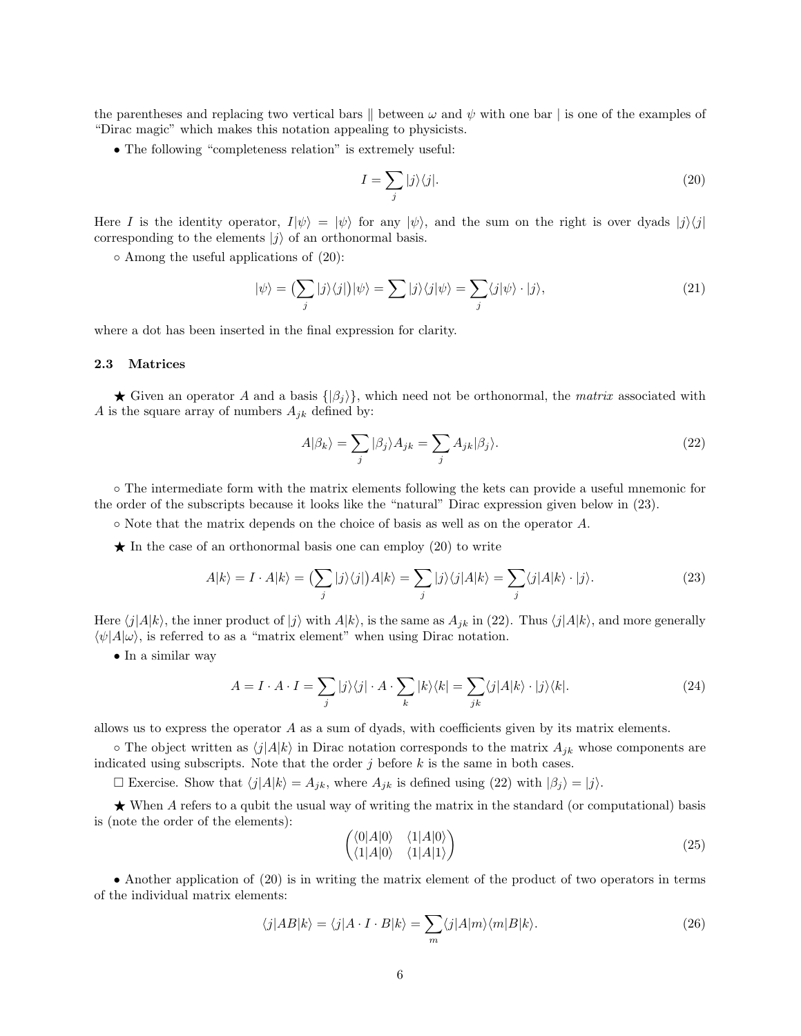the parentheses and replacing two vertical bars  $\parallel$  between  $\omega$  and  $\psi$  with one bar | is one of the examples of "Dirac magic" which makes this notation appealing to physicists.

• The following "completeness relation" is extremely useful:

$$
I = \sum_{j} |j\rangle\langle j|.\tag{20}
$$

Here I is the identity operator,  $I|\psi\rangle = |\psi\rangle$  for any  $|\psi\rangle$ , and the sum on the right is over dyads  $|j\rangle\langle j|$ corresponding to the elements  $|j\rangle$  of an orthonormal basis.

◦ Among the useful applications of (20):

$$
|\psi\rangle = \left(\sum_{j} |j\rangle\langle j| \right) |\psi\rangle = \sum_{j} |j\rangle\langle j| \psi\rangle = \sum_{j} \langle j| \psi\rangle \cdot |j\rangle,\tag{21}
$$

where a dot has been inserted in the final expression for clarity.

#### 2.3 Matrices

 $\star$  Given an operator A and a basis  $\{\beta_i\}$ , which need not be orthonormal, the matrix associated with A is the square array of numbers  $A_{jk}$  defined by:

$$
A|\beta_k\rangle = \sum_j |\beta_j\rangle A_{jk} = \sum_j A_{jk}|\beta_j\rangle.
$$
 (22)

◦ The intermediate form with the matrix elements following the kets can provide a useful mnemonic for the order of the subscripts because it looks like the "natural" Dirac expression given below in (23).

◦ Note that the matrix depends on the choice of basis as well as on the operator A.

 $\star$  In the case of an orthonormal basis one can employ (20) to write

$$
A|k\rangle = I \cdot A|k\rangle = \left(\sum_{j} |j\rangle\langle j| \right) A|k\rangle = \sum_{j} |j\rangle\langle j| A|k\rangle = \sum_{j} \langle j| A|k\rangle \cdot |j\rangle. \tag{23}
$$

Here  $\langle j|A|k\rangle$ , the inner product of  $|j\rangle$  with  $A|k\rangle$ , is the same as  $A_{jk}$  in (22). Thus  $\langle j|A|k\rangle$ , and more generally  $\langle \psi | A | \omega \rangle$ , is referred to as a "matrix element" when using Dirac notation.

• In a similar way

$$
A = I \cdot A \cdot I = \sum_{j} |j\rangle\langle j| \cdot A \cdot \sum_{k} |k\rangle\langle k| = \sum_{jk} \langle j|A|k\rangle \cdot |j\rangle\langle k|. \tag{24}
$$

allows us to express the operator A as a sum of dyads, with coefficients given by its matrix elements.

 $\circ$  The object written as  $\langle j|A|k\rangle$  in Dirac notation corresponds to the matrix  $A_{jk}$  whose components are indicated using subscripts. Note that the order  $j$  before  $k$  is the same in both cases.

 $\Box$  Exercise. Show that  $\langle j|A|k \rangle = A_{jk}$ , where  $A_{jk}$  is defined using (22) with  $|\beta_j \rangle = |j\rangle$ .

 $\star$  When A refers to a qubit the usual way of writing the matrix in the standard (or computational) basis is (note the order of the elements):

$$
\begin{pmatrix}\n\langle 0|A|0\rangle & \langle 1|A|0\rangle \\
\langle 1|A|0\rangle & \langle 1|A|1\rangle\n\end{pmatrix}
$$
\n(25)

• Another application of (20) is in writing the matrix element of the product of two operators in terms of the individual matrix elements:

$$
\langle j|AB|k\rangle = \langle j|A \cdot I \cdot B|k\rangle = \sum_{m} \langle j|A|m\rangle \langle m|B|k\rangle.
$$
 (26)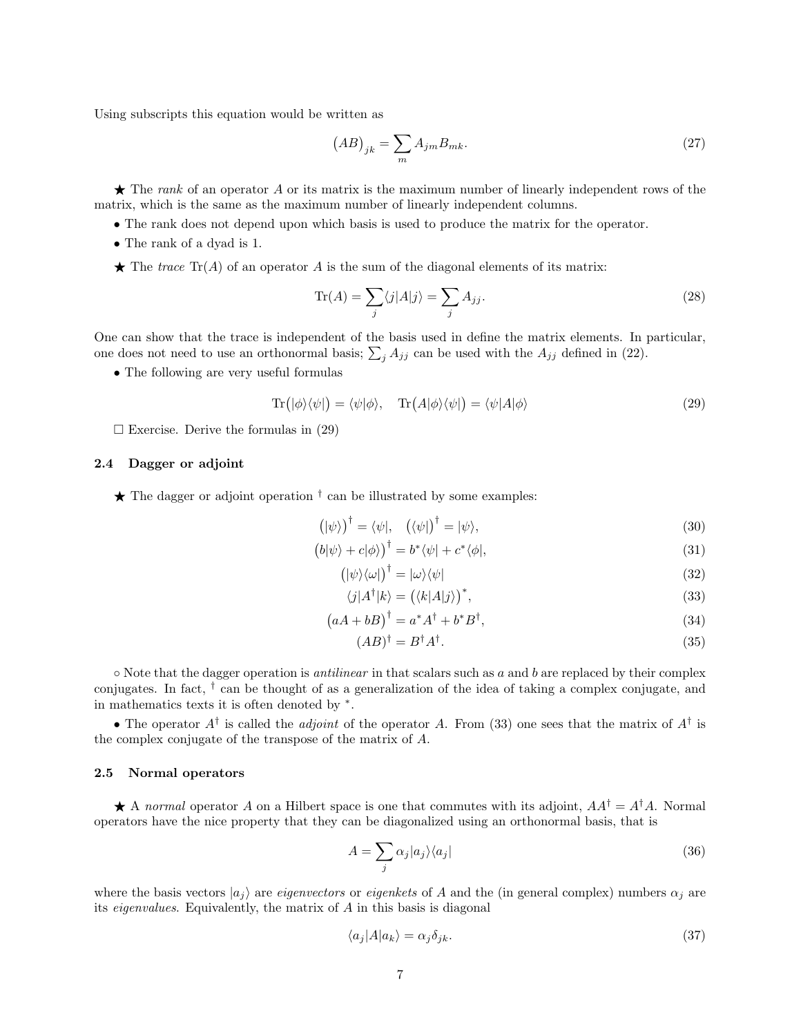Using subscripts this equation would be written as

$$
(AB)_{jk} = \sum_{m} A_{jm} B_{mk}.\tag{27}
$$

 $\star$  The rank of an operator A or its matrix is the maximum number of linearly independent rows of the matrix, which is the same as the maximum number of linearly independent columns.

- The rank does not depend upon which basis is used to produce the matrix for the operator.
- The rank of a dyad is 1.
- $\star$  The trace Tr(A) of an operator A is the sum of the diagonal elements of its matrix:

$$
\text{Tr}(A) = \sum_{j} \langle j | A | j \rangle = \sum_{j} A_{jj}.
$$
\n(28)

One can show that the trace is independent of the basis used in define the matrix elements. In particular, one does not need to use an orthonormal basis;  $\sum_j A_{jj}$  can be used with the  $A_{jj}$  defined in (22).

• The following are very useful formulas

$$
\operatorname{Tr}(|\phi\rangle\langle\psi|) = \langle\psi|\phi\rangle, \quad \operatorname{Tr}(A|\phi\rangle\langle\psi|) = \langle\psi|A|\phi\rangle \tag{29}
$$

 $\square$  Exercise. Derive the formulas in (29)

## 2.4 Dagger or adjoint

 $\star$  The dagger or adjoint operation  $\dagger$  can be illustrated by some examples:

$$
(\ket{\psi})^{\dagger} = \langle \psi |, \quad (\langle \psi |)^{\dagger} = |\psi \rangle,
$$
\n(30)

$$
(b|\psi\rangle + c|\phi\rangle)^{\dagger} = b^* \langle \psi | + c^* \langle \phi |,
$$
\n(31)

$$
(|\psi\rangle\langle\omega|)^{\dagger} = |\omega\rangle\langle\psi| \tag{32}
$$

$$
\langle j|A^{\dagger}|k\rangle = (\langle k|A|j\rangle)^{*},\tag{33}
$$

$$
(aA + bB)^{\dagger} = a^*A^{\dagger} + b^*B^{\dagger},\tag{34}
$$

$$
(AB)^{\dagger} = B^{\dagger} A^{\dagger}.
$$
\n(35)

 $\circ$  Note that the dagger operation is *antilinear* in that scalars such as a and b are replaced by their complex conjugates. In fact, † can be thought of as a generalization of the idea of taking a complex conjugate, and in mathematics texts it is often denoted by <sup>∗</sup> .

• The operator  $A^{\dagger}$  is called the *adjoint* of the operator A. From (33) one sees that the matrix of  $A^{\dagger}$  is the complex conjugate of the transpose of the matrix of A.

#### 2.5 Normal operators

A normal operator A on a Hilbert space is one that commutes with its adjoint,  $AA^{\dagger} = A^{\dagger}A$ . Normal operators have the nice property that they can be diagonalized using an orthonormal basis, that is

$$
A = \sum_{j} \alpha_j |a_j\rangle\langle a_j| \tag{36}
$$

where the basis vectors  $|a_i\rangle$  are *eigenvectors* or *eigenkets* of A and the (in general complex) numbers  $\alpha_i$  are its eigenvalues. Equivalently, the matrix of A in this basis is diagonal

$$
\langle a_j | A | a_k \rangle = \alpha_j \delta_{jk}.\tag{37}
$$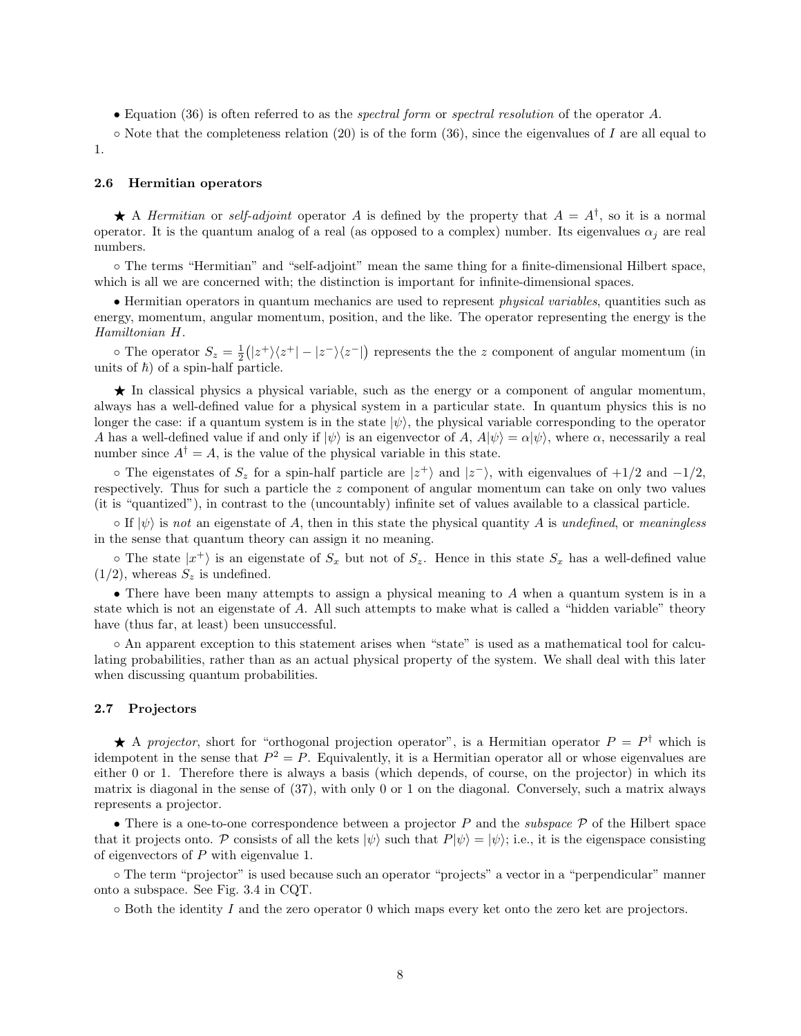• Equation (36) is often referred to as the spectral form or spectral resolution of the operator A.

 $\circ$  Note that the completeness relation (20) is of the form (36), since the eigenvalues of I are all equal to 1.

#### 2.6 Hermitian operators

A Hermitian or self-adjoint operator A is defined by the property that  $A = A^{\dagger}$ , so it is a normal operator. It is the quantum analog of a real (as opposed to a complex) number. Its eigenvalues  $\alpha_i$  are real numbers.

◦ The terms "Hermitian" and "self-adjoint" mean the same thing for a finite-dimensional Hilbert space, which is all we are concerned with; the distinction is important for infinite-dimensional spaces.

• Hermitian operators in quantum mechanics are used to represent physical variables, quantities such as energy, momentum, angular momentum, position, and the like. The operator representing the energy is the Hamiltonian H.

 $\circ$  The operator  $S_z = \frac{1}{2}(|z^+\rangle\langle z^+| - |z^-\rangle\langle z^-|)$  represents the the z component of angular momentum (in units of  $\hbar$ ) of a spin-half particle.

★ In classical physics a physical variable, such as the energy or a component of angular momentum, always has a well-defined value for a physical system in a particular state. In quantum physics this is no longer the case: if a quantum system is in the state  $|\psi\rangle$ , the physical variable corresponding to the operator A has a well-defined value if and only if  $|\psi\rangle$  is an eigenvector of A,  $A|\psi\rangle = \alpha|\psi\rangle$ , where  $\alpha$ , necessarily a real number since  $A^{\dagger} = A$ , is the value of the physical variable in this state.

 $\circ$  The eigenstates of  $S_z$  for a spin-half particle are  $|z^+\rangle$  and  $|z^-\rangle$ , with eigenvalues of  $+1/2$  and  $-1/2$ , respectively. Thus for such a particle the  $z$  component of angular momentum can take on only two values (it is "quantized"), in contrast to the (uncountably) infinite set of values available to a classical particle.

 $\circ$  If  $|\psi\rangle$  is not an eigenstate of A, then in this state the physical quantity A is undefined, or meaningless in the sense that quantum theory can assign it no meaning.

 $\circ$  The state  $|x^+\rangle$  is an eigenstate of  $S_x$  but not of  $S_z$ . Hence in this state  $S_x$  has a well-defined value  $(1/2)$ , whereas  $S_z$  is undefined.

• There have been many attempts to assign a physical meaning to A when a quantum system is in a state which is not an eigenstate of A. All such attempts to make what is called a "hidden variable" theory have (thus far, at least) been unsuccessful.

◦ An apparent exception to this statement arises when "state" is used as a mathematical tool for calculating probabilities, rather than as an actual physical property of the system. We shall deal with this later when discussing quantum probabilities.

#### 2.7 Projectors

A projector, short for "orthogonal projection operator", is a Hermitian operator  $P = P^{\dagger}$  which is idempotent in the sense that  $P^2 = P$ . Equivalently, it is a Hermitian operator all or whose eigenvalues are either 0 or 1. Therefore there is always a basis (which depends, of course, on the projector) in which its matrix is diagonal in the sense of (37), with only 0 or 1 on the diagonal. Conversely, such a matrix always represents a projector.

• There is a one-to-one correspondence between a projector  $P$  and the *subspace*  $P$  of the Hilbert space that it projects onto. P consists of all the kets  $|\psi\rangle$  such that  $P|\psi\rangle = |\psi\rangle$ ; i.e., it is the eigenspace consisting of eigenvectors of  $P$  with eigenvalue 1.

◦ The term "projector" is used because such an operator "projects" a vector in a "perpendicular" manner onto a subspace. See Fig. 3.4 in CQT.

 $\circ$  Both the identity I and the zero operator 0 which maps every ket onto the zero ket are projectors.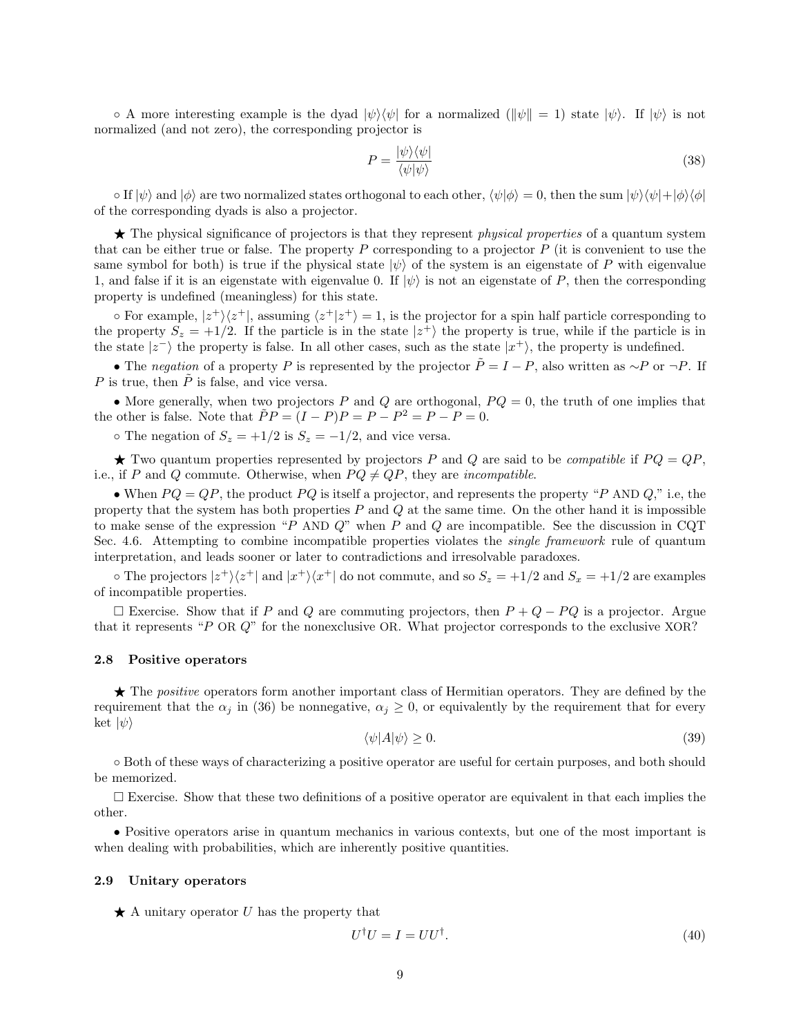$\circ$  A more interesting example is the dyad  $|\psi\rangle\langle\psi|$  for a normalized  $(\|\psi\|=1)$  state  $|\psi\rangle$ . If  $|\psi\rangle$  is not normalized (and not zero), the corresponding projector is

$$
P = \frac{|\psi\rangle\langle\psi|}{\langle\psi|\psi\rangle} \tag{38}
$$

 $\circ$  If  $|\psi\rangle$  and  $|\phi\rangle$  are two normalized states orthogonal to each other,  $\langle\psi|\phi\rangle = 0$ , then the sum  $|\psi\rangle\langle\psi|+|\phi\rangle\langle\phi|$ of the corresponding dyads is also a projector.

 $\star$  The physical significance of projectors is that they represent *physical properties* of a quantum system that can be either true or false. The property  $P$  corresponding to a projector  $P$  (it is convenient to use the same symbol for both) is true if the physical state  $|\psi\rangle$  of the system is an eigenstate of P with eigenvalue 1, and false if it is an eigenstate with eigenvalue 0. If  $|\psi\rangle$  is not an eigenstate of P, then the corresponding property is undefined (meaningless) for this state.

 $\circ$  For example,  $|z^+\rangle\langle z^+|$ , assuming  $\langle z^+|z^+\rangle=1$ , is the projector for a spin half particle corresponding to the property  $S_z = +1/2$ . If the particle is in the state  $|z^+\rangle$  the property is true, while if the particle is in the state  $|z^{-}\rangle$  the property is false. In all other cases, such as the state  $|x^{+}\rangle$ , the property is undefined.

• The negation of a property P is represented by the projector  $\tilde{P} = I - P$ , also written as ∼P or  $\neg P$ . If P is true, then  $\tilde{P}$  is false, and vice versa.

• More generally, when two projectors P and Q are orthogonal,  $PQ = 0$ , the truth of one implies that the other is false. Note that  $\tilde{P}P = (I - P)P = P - P^2 = P - P = 0$ .

 $\circ$  The negation of  $S_z = +1/2$  is  $S_z = -1/2$ , and vice versa.

 $\star$  Two quantum properties represented by projectors P and Q are said to be *compatible* if  $PQ = QP$ , i.e., if P and Q commute. Otherwise, when  $PQ \neq QP$ , they are *incompatible*.

• When  $PQ = QP$ , the product  $PQ$  is itself a projector, and represents the property "P AND Q," i.e, the property that the system has both properties  $P$  and  $Q$  at the same time. On the other hand it is impossible to make sense of the expression "P AND  $Q$ " when P and Q are incompatible. See the discussion in CQT Sec. 4.6. Attempting to combine incompatible properties violates the *single framework* rule of quantum interpretation, and leads sooner or later to contradictions and irresolvable paradoxes.

 $\circ$  The projectors  $|z^{+}\rangle\langle z^{+}|$  and  $|x^{+}\rangle\langle x^{+}|$  do not commute, and so  $S_{z} = +1/2$  and  $S_{x} = +1/2$  are examples of incompatible properties.

 $□$  Exercise. Show that if P and Q are commuting projectors, then  $P + Q - PQ$  is a projector. Argue that it represents "P OR Q" for the nonexclusive OR. What projector corresponds to the exclusive XOR?

## 2.8 Positive operators

★ The *positive* operators form another important class of Hermitian operators. They are defined by the requirement that the  $\alpha_i$  in (36) be nonnegative,  $\alpha_i \geq 0$ , or equivalently by the requirement that for every ket  $|\psi\rangle$ 

$$
\langle \psi | A | \psi \rangle \ge 0. \tag{39}
$$

◦ Both of these ways of characterizing a positive operator are useful for certain purposes, and both should be memorized.

 $\square$  Exercise. Show that these two definitions of a positive operator are equivalent in that each implies the other.

• Positive operators arise in quantum mechanics in various contexts, but one of the most important is when dealing with probabilities, which are inherently positive quantities.

#### 2.9 Unitary operators

 $\star$  A unitary operator U has the property that

$$
U^{\dagger}U = I = UU^{\dagger}.
$$
\n<sup>(40)</sup>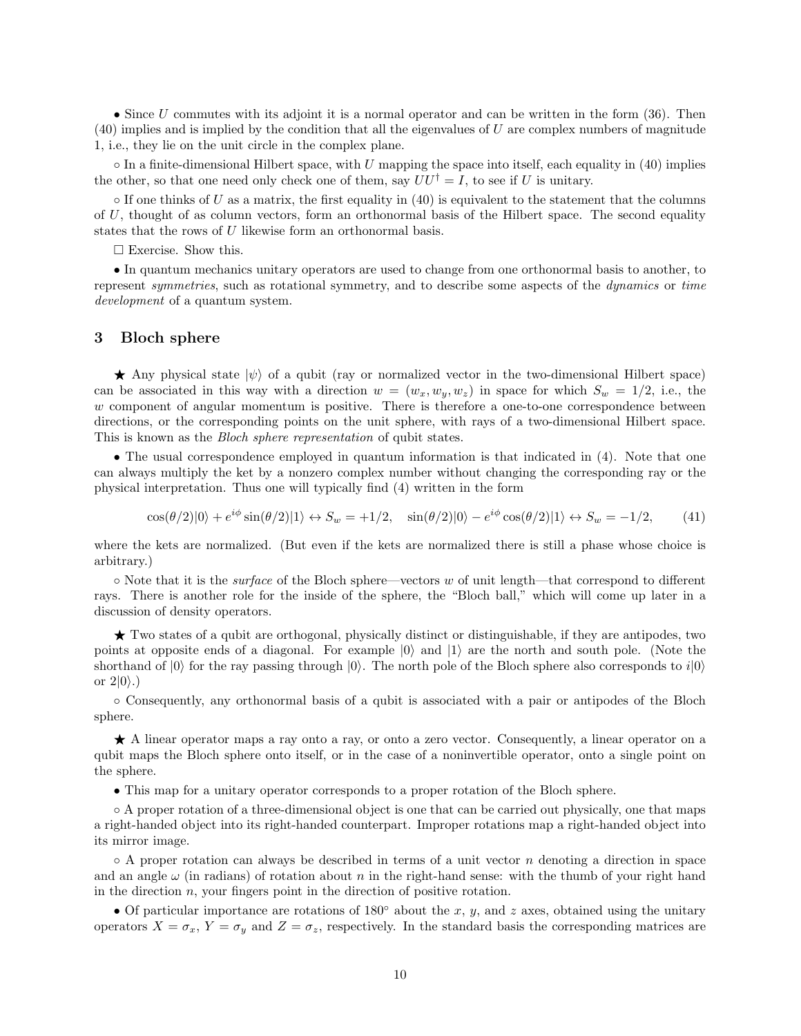• Since  $U$  commutes with its adjoint it is a normal operator and can be written in the form  $(36)$ . Then  $(40)$  implies and is implied by the condition that all the eigenvalues of U are complex numbers of magnitude 1, i.e., they lie on the unit circle in the complex plane.

 $\circ$  In a finite-dimensional Hilbert space, with U mapping the space into itself, each equality in (40) implies the other, so that one need only check one of them, say  $UU^{\dagger} = I$ , to see if U is unitary.

 $\circ$  If one thinks of U as a matrix, the first equality in (40) is equivalent to the statement that the columns of  $U$ , thought of as column vectors, form an orthonormal basis of the Hilbert space. The second equality states that the rows of U likewise form an orthonormal basis.

 $\square$  Exercise. Show this.

• In quantum mechanics unitary operators are used to change from one orthonormal basis to another, to represent symmetries, such as rotational symmetry, and to describe some aspects of the dynamics or time development of a quantum system.

# 3 Bloch sphere

Any physical state  $|\psi\rangle$  of a qubit (ray or normalized vector in the two-dimensional Hilbert space) can be associated in this way with a direction  $w = (w_x, w_y, w_z)$  in space for which  $S_w = 1/2$ , i.e., the  $w$  component of angular momentum is positive. There is therefore a one-to-one correspondence between directions, or the corresponding points on the unit sphere, with rays of a two-dimensional Hilbert space. This is known as the Bloch sphere representation of qubit states.

• The usual correspondence employed in quantum information is that indicated in (4). Note that one can always multiply the ket by a nonzero complex number without changing the corresponding ray or the physical interpretation. Thus one will typically find (4) written in the form

$$
\cos(\theta/2)|0\rangle + e^{i\phi}\sin(\theta/2)|1\rangle \leftrightarrow S_w = +1/2, \quad \sin(\theta/2)|0\rangle - e^{i\phi}\cos(\theta/2)|1\rangle \leftrightarrow S_w = -1/2,\tag{41}
$$

where the kets are normalized. (But even if the kets are normalized there is still a phase whose choice is arbitrary.)

◦ Note that it is the surface of the Bloch sphere—vectors w of unit length—that correspond to different rays. There is another role for the inside of the sphere, the "Bloch ball," which will come up later in a discussion of density operators.

★ Two states of a qubit are orthogonal, physically distinct or distinguishable, if they are antipodes, two points at opposite ends of a diagonal. For example  $|0\rangle$  and  $|1\rangle$  are the north and south pole. (Note the shorthand of  $|0\rangle$  for the ray passing through  $|0\rangle$ . The north pole of the Bloch sphere also corresponds to  $i|0\rangle$ or  $2|0\rangle$ .)

◦ Consequently, any orthonormal basis of a qubit is associated with a pair or antipodes of the Bloch sphere.

★ A linear operator maps a ray onto a ray, or onto a zero vector. Consequently, a linear operator on a qubit maps the Bloch sphere onto itself, or in the case of a noninvertible operator, onto a single point on the sphere.

• This map for a unitary operator corresponds to a proper rotation of the Bloch sphere.

◦ A proper rotation of a three-dimensional object is one that can be carried out physically, one that maps a right-handed object into its right-handed counterpart. Improper rotations map a right-handed object into its mirror image.

 $\circ$  A proper rotation can always be described in terms of a unit vector *n* denoting a direction in space and an angle  $\omega$  (in radians) of rotation about n in the right-hand sense: with the thumb of your right hand in the direction  $n$ , your fingers point in the direction of positive rotation.

• Of particular importance are rotations of 180 $\degree$  about the x, y, and z axes, obtained using the unitary operators  $X = \sigma_x$ ,  $Y = \sigma_y$  and  $Z = \sigma_z$ , respectively. In the standard basis the corresponding matrices are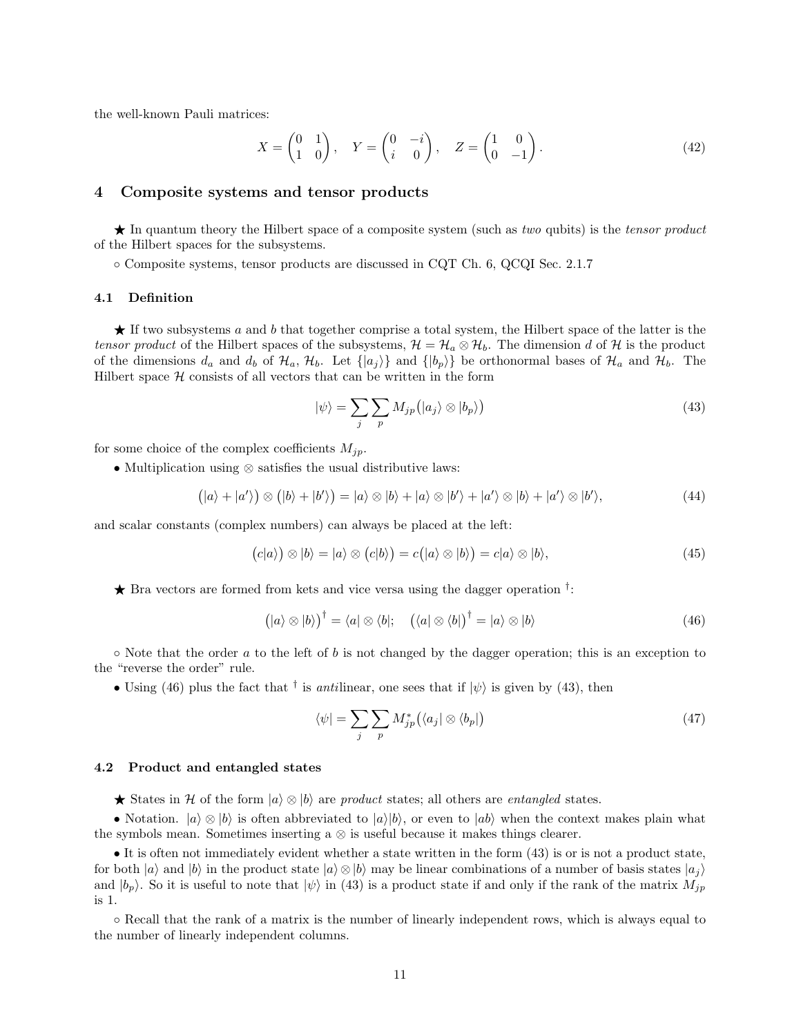the well-known Pauli matrices:

$$
X = \begin{pmatrix} 0 & 1 \\ 1 & 0 \end{pmatrix}, \quad Y = \begin{pmatrix} 0 & -i \\ i & 0 \end{pmatrix}, \quad Z = \begin{pmatrix} 1 & 0 \\ 0 & -1 \end{pmatrix}.
$$
 (42)

# 4 Composite systems and tensor products

 $\star$  In quantum theory the Hilbert space of a composite system (such as two qubits) is the tensor product of the Hilbert spaces for the subsystems.

◦ Composite systems, tensor products are discussed in CQT Ch. 6, QCQI Sec. 2.1.7

#### 4.1 Definition

 $\star$  If two subsystems a and b that together comprise a total system, the Hilbert space of the latter is the tensor product of the Hilbert spaces of the subsystems,  $\mathcal{H} = \mathcal{H}_a \otimes \mathcal{H}_b$ . The dimension d of  $\mathcal{H}$  is the product of the dimensions  $d_a$  and  $d_b$  of  $\mathcal{H}_a$ ,  $\mathcal{H}_b$ . Let  $\{|a_j\rangle\}$  and  $\{|b_p\rangle\}$  be orthonormal bases of  $\mathcal{H}_a$  and  $\mathcal{H}_b$ . The Hilbert space  $H$  consists of all vectors that can be written in the form

$$
|\psi\rangle = \sum_{j} \sum_{p} M_{jp} (|a_j\rangle \otimes |b_p\rangle)
$$
 (43)

for some choice of the complex coefficients  $M_{jp}$ .

• Multiplication using ⊗ satisfies the usual distributive laws:

$$
(|a\rangle + |a'\rangle) \otimes (|b\rangle + |b'\rangle) = |a\rangle \otimes |b\rangle + |a\rangle \otimes |b'\rangle + |a'\rangle \otimes |b\rangle + |a'\rangle \otimes |b'\rangle,
$$
 (44)

and scalar constants (complex numbers) can always be placed at the left:

$$
(c|a\rangle) \otimes |b\rangle = |a\rangle \otimes (c|b\rangle) = c(|a\rangle \otimes |b\rangle) = c|a\rangle \otimes |b\rangle,
$$
\n(45)

 $\star$  Bra vectors are formed from kets and vice versa using the dagger operation  $\dagger$ :

$$
(|a\rangle \otimes |b\rangle)^{\dagger} = \langle a| \otimes \langle b|; \quad (\langle a| \otimes \langle b|)^{\dagger} = |a\rangle \otimes |b\rangle \tag{46}
$$

 $\circ$  Note that the order a to the left of b is not changed by the dagger operation; this is an exception to the "reverse the order" rule.

• Using (46) plus the fact that <sup>†</sup> is *anti*linear, one sees that if  $|\psi\rangle$  is given by (43), then

$$
\langle \psi | = \sum_{j} \sum_{p} M_{jp}^* \left( \langle a_j | \otimes \langle b_p | \right) \tag{47}
$$

#### 4.2 Product and entangled states

**★** States in H of the form  $|a\rangle \otimes |b\rangle$  are product states; all others are entangled states.

• Notation.  $|a\rangle \otimes |b\rangle$  is often abbreviated to  $|a\rangle|b\rangle$ , or even to  $|ab\rangle$  when the context makes plain what the symbols mean. Sometimes inserting a ⊗ is useful because it makes things clearer.

• It is often not immediately evident whether a state written in the form (43) is or is not a product state, for both  $|a\rangle$  and  $|b\rangle$  in the product state  $|a\rangle \otimes |b\rangle$  may be linear combinations of a number of basis states  $|a_i\rangle$ and  $|b_p\rangle$ . So it is useful to note that  $|\psi\rangle$  in (43) is a product state if and only if the rank of the matrix  $M_{jp}$ is 1.

◦ Recall that the rank of a matrix is the number of linearly independent rows, which is always equal to the number of linearly independent columns.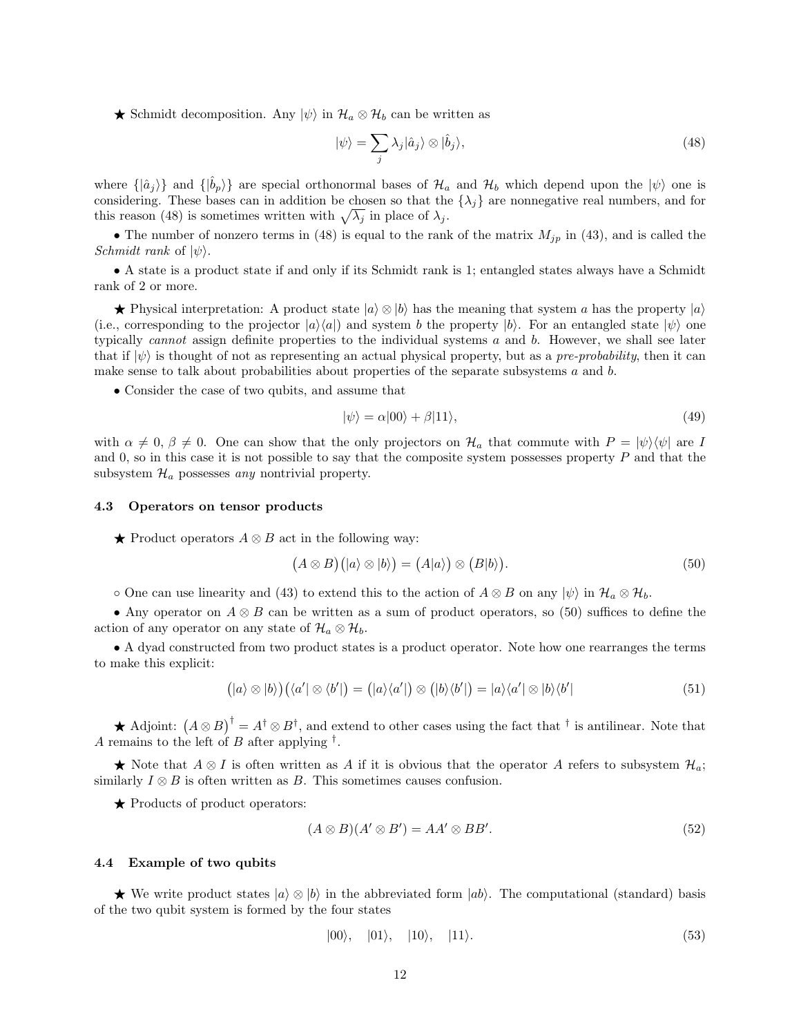**★** Schmidt decomposition. Any  $|\psi\rangle$  in  $\mathcal{H}_a \otimes \mathcal{H}_b$  can be written as

$$
|\psi\rangle = \sum_{j} \lambda_j |\hat{a}_j\rangle \otimes |\hat{b}_j\rangle,\tag{48}
$$

where  $\{|\hat{a}_i\rangle\}$  and  $\{|\hat{b}_p\rangle\}$  are special orthonormal bases of  $\mathcal{H}_a$  and  $\mathcal{H}_b$  which depend upon the  $|\psi\rangle$  one is considering. These bases can in addition be chosen so that the  $\{\lambda_j\}$  are nonnegative real numbers, and for this reason (48) is sometimes written with  $\sqrt{\lambda_j}$  in place of  $\lambda_j$ .

• The number of nonzero terms in (48) is equal to the rank of the matrix  $M_{jp}$  in (43), and is called the Schmidt rank of  $|\psi\rangle$ .

• A state is a product state if and only if its Schmidt rank is 1; entangled states always have a Schmidt rank of 2 or more.

★ Physical interpretation: A product state  $|a\rangle \otimes |b\rangle$  has the meaning that system a has the property  $|a\rangle$ (i.e., corresponding to the projector  $|a\rangle\langle a|$ ) and system b the property  $|b\rangle$ . For an entangled state  $|\psi\rangle$  one typically *cannot* assign definite properties to the individual systems a and b. However, we shall see later that if  $|\psi\rangle$  is thought of not as representing an actual physical property, but as a pre-probability, then it can make sense to talk about probabilities about properties of the separate subsystems a and b.

• Consider the case of two qubits, and assume that

$$
|\psi\rangle = \alpha|00\rangle + \beta|11\rangle,\tag{49}
$$

with  $\alpha \neq 0$ ,  $\beta \neq 0$ . One can show that the only projectors on  $\mathcal{H}_a$  that commute with  $P = |\psi\rangle\langle\psi|$  are I and 0, so in this case it is not possible to say that the composite system possesses property  $P$  and that the subsystem  $\mathcal{H}_a$  possesses any nontrivial property.

#### 4.3 Operators on tensor products

 $\bigstar$  Product operators  $A \otimes B$  act in the following way:

$$
(A \otimes B)(|a\rangle \otimes |b\rangle) = (A|a\rangle) \otimes (B|b\rangle).
$$
 (50)

 $\circ$  One can use linearity and (43) to extend this to the action of  $A \otimes B$  on any  $|\psi\rangle$  in  $\mathcal{H}_a \otimes \mathcal{H}_b$ .

• Any operator on  $A \otimes B$  can be written as a sum of product operators, so (50) suffices to define the action of any operator on any state of  $\mathcal{H}_a \otimes \mathcal{H}_b$ .

• A dyad constructed from two product states is a product operator. Note how one rearranges the terms to make this explicit:

$$
(|a\rangle \otimes |b\rangle)(\langle a' | \otimes \langle b' | ) = (|a\rangle \langle a' | ) \otimes (|b\rangle \langle b' | ) = |a\rangle \langle a' | \otimes |b\rangle \langle b' | \tag{51}
$$

★ Adjoint:  $(A \otimes B)^{\dagger} = A^{\dagger} \otimes B^{\dagger}$ , and extend to other cases using the fact that  $\dagger$  is antilinear. Note that A remains to the left of B after applying  $^{\dagger}$ .

★ Note that  $A \otimes I$  is often written as A if it is obvious that the operator A refers to subsystem  $\mathcal{H}_a$ ; similarly  $I \otimes B$  is often written as B. This sometimes causes confusion.

 $\bigstar$  Products of product operators:

$$
(A \otimes B)(A' \otimes B') = AA' \otimes BB'.
$$
\n(52)

## 4.4 Example of two qubits

**★** We write product states  $|a\rangle \otimes |b\rangle$  in the abbreviated form  $|ab\rangle$ . The computational (standard) basis of the two qubit system is formed by the four states

$$
|00\rangle, |01\rangle, |10\rangle, |11\rangle. \tag{53}
$$